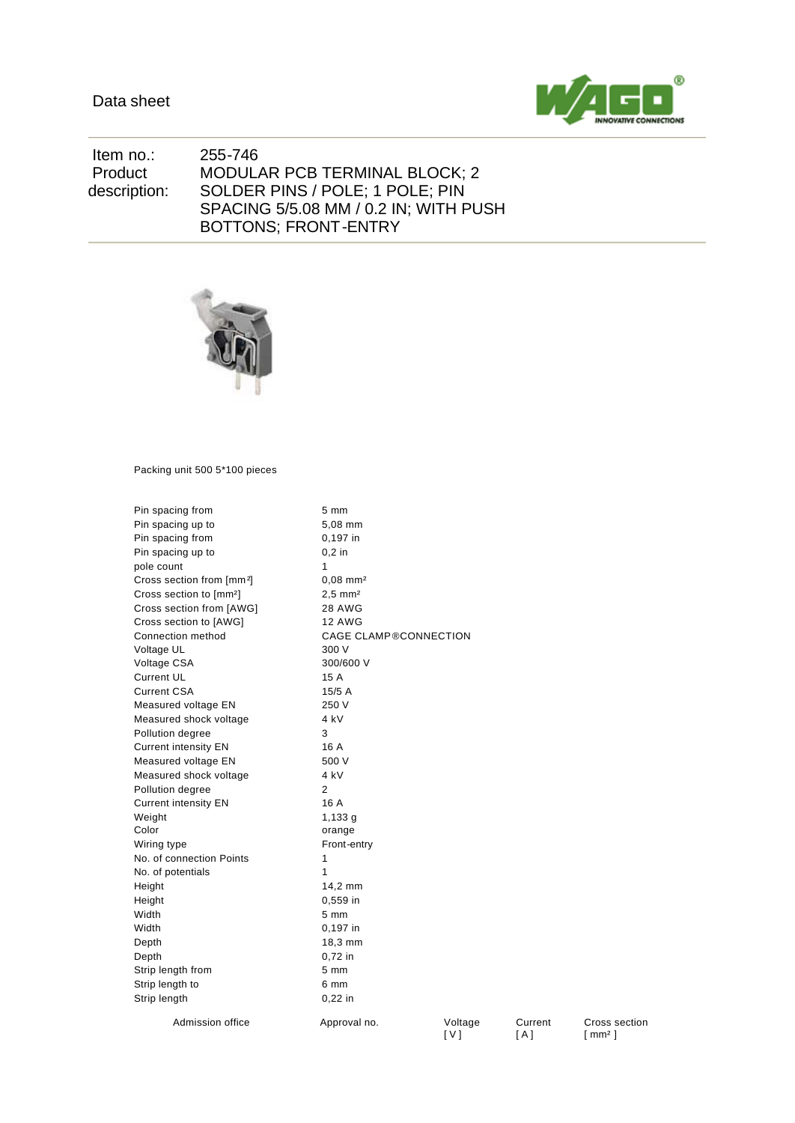

 Item no.: 255-746 Product description: MODULAR PCB TERMINAL BLOCK; 2 SOLDER PINS / POLE; 1 POLE; PIN SPACING 5/5.08 MM / 0.2 IN; WITH PUSH BOTTONS; FRONT-ENTRY



Packing unit 500 5\*100 pieces

| Pin spacing from                      | 5 mm                         |  |  |  |
|---------------------------------------|------------------------------|--|--|--|
| Pin spacing up to                     | 5,08 mm                      |  |  |  |
| Pin spacing from                      | 0,197 in                     |  |  |  |
| Pin spacing up to                     | $0.2$ in                     |  |  |  |
| pole count                            | 1                            |  |  |  |
| Cross section from [mm <sup>2</sup> ] | $0,08$ mm <sup>2</sup>       |  |  |  |
| Cross section to [mm <sup>2</sup> ]   | $2.5 \, \text{mm}^2$         |  |  |  |
| Cross section from [AWG]              | 28 AWG                       |  |  |  |
| Cross section to [AWG]                | <b>12 AWG</b>                |  |  |  |
| Connection method                     | <b>CAGE CLAMP®CONNECTION</b> |  |  |  |
| Voltage UL                            | 300 V                        |  |  |  |
| Voltage CSA                           | 300/600 V                    |  |  |  |
| <b>Current UL</b>                     | 15 A                         |  |  |  |
| <b>Current CSA</b>                    | 15/5A                        |  |  |  |
| Measured voltage EN                   | 250 V                        |  |  |  |
| Measured shock voltage                | 4 kV                         |  |  |  |
| Pollution degree                      | 3                            |  |  |  |
| <b>Current intensity EN</b>           | 16 A                         |  |  |  |
| Measured voltage EN                   | 500 V                        |  |  |  |
| Measured shock voltage                | 4 kV                         |  |  |  |
| Pollution degree                      | $\overline{2}$               |  |  |  |
| <b>Current intensity EN</b>           | 16 A                         |  |  |  |
| Weight                                | 1,133 a                      |  |  |  |
| Color                                 | orange                       |  |  |  |
| Wiring type                           | Front-entry                  |  |  |  |
| No. of connection Points              | 1                            |  |  |  |
| No. of potentials                     | 1                            |  |  |  |
| Height                                | 14,2 mm                      |  |  |  |
| Height                                | 0,559 in                     |  |  |  |
| Width                                 | 5 mm                         |  |  |  |
| Width                                 | 0,197 in                     |  |  |  |
| Depth                                 | 18,3 mm                      |  |  |  |
| Depth                                 | $0,72$ in                    |  |  |  |
| Strip length from                     | $5 \text{ mm}$               |  |  |  |
| Strip length to                       | 6 mm                         |  |  |  |
| Strip length                          | $0.22$ in                    |  |  |  |
| Admission office                      | Approval no.<br>Voltage      |  |  |  |

[ V ]

Current [ A ]

Cross section [ mm² ]